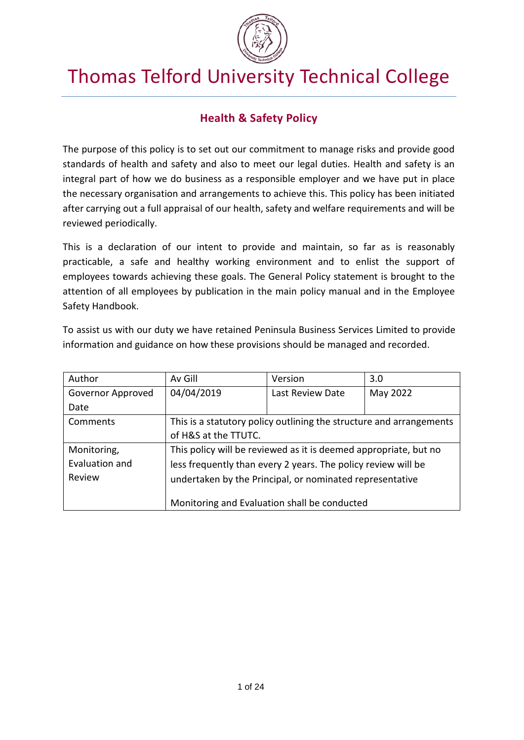

# Thomas Telford University Technical College

## **Health & Safety Policy**

The purpose of this policy is to set out our commitment to manage risks and provide good standards of health and safety and also to meet our legal duties. Health and safety is an integral part of how we do business as a responsible employer and we have put in place the necessary organisation and arrangements to achieve this. This policy has been initiated after carrying out a full appraisal of our health, safety and welfare requirements and will be reviewed periodically.

This is a declaration of our intent to provide and maintain, so far as is reasonably practicable, a safe and healthy working environment and to enlist the support of employees towards achieving these goals. The General Policy statement is brought to the attention of all employees by publication in the main policy manual and in the Employee Safety Handbook.

To assist us with our duty we have retained Peninsula Business Services Limited to provide information and guidance on how these provisions should be managed and recorded.

| Author            | Av Gill                                                             | Version          | 3.0      |  |  |  |  |
|-------------------|---------------------------------------------------------------------|------------------|----------|--|--|--|--|
| Governor Approved | 04/04/2019                                                          | Last Review Date | May 2022 |  |  |  |  |
| Date              |                                                                     |                  |          |  |  |  |  |
| Comments          | This is a statutory policy outlining the structure and arrangements |                  |          |  |  |  |  |
|                   | of H&S at the TTUTC.                                                |                  |          |  |  |  |  |
| Monitoring,       | This policy will be reviewed as it is deemed appropriate, but no    |                  |          |  |  |  |  |
| Evaluation and    | less frequently than every 2 years. The policy review will be       |                  |          |  |  |  |  |
| Review            | undertaken by the Principal, or nominated representative            |                  |          |  |  |  |  |
|                   |                                                                     |                  |          |  |  |  |  |
|                   | Monitoring and Evaluation shall be conducted                        |                  |          |  |  |  |  |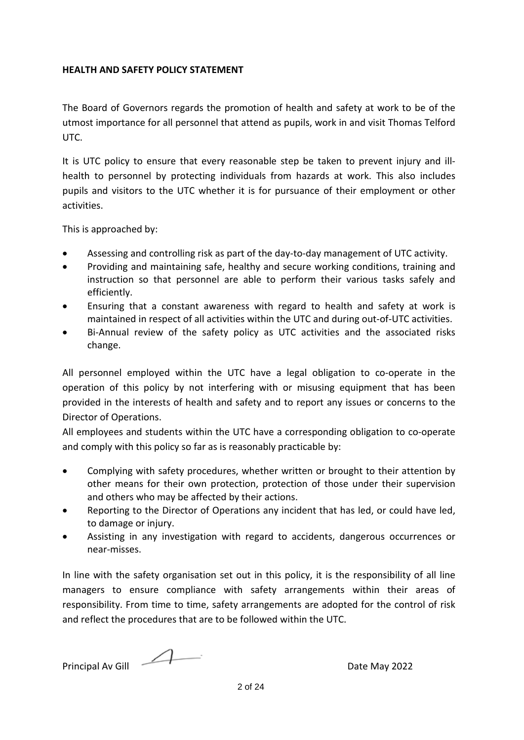#### **HEALTH AND SAFETY POLICY STATEMENT**

The Board of Governors regards the promotion of health and safety at work to be of the utmost importance for all personnel that attend as pupils, work in and visit Thomas Telford UTC.

It is UTC policy to ensure that every reasonable step be taken to prevent injury and illhealth to personnel by protecting individuals from hazards at work. This also includes pupils and visitors to the UTC whether it is for pursuance of their employment or other activities.

This is approached by:

- Assessing and controlling risk as part of the day-to-day management of UTC activity.
- Providing and maintaining safe, healthy and secure working conditions, training and instruction so that personnel are able to perform their various tasks safely and efficiently.
- Ensuring that a constant awareness with regard to health and safety at work is maintained in respect of all activities within the UTC and during out-of-UTC activities.
- Bi-Annual review of the safety policy as UTC activities and the associated risks change.

All personnel employed within the UTC have a legal obligation to co-operate in the operation of this policy by not interfering with or misusing equipment that has been provided in the interests of health and safety and to report any issues or concerns to the Director of Operations.

All employees and students within the UTC have a corresponding obligation to co-operate and comply with this policy so far as is reasonably practicable by:

- Complying with safety procedures, whether written or brought to their attention by other means for their own protection, protection of those under their supervision and others who may be affected by their actions.
- Reporting to the Director of Operations any incident that has led, or could have led, to damage or injury.
- Assisting in any investigation with regard to accidents, dangerous occurrences or near-misses.

In line with the safety organisation set out in this policy, it is the responsibility of all line managers to ensure compliance with safety arrangements within their areas of responsibility. From time to time, safety arrangements are adopted for the control of risk and reflect the procedures that are to be followed within the UTC.

Principal Av Gill **Date May 2022**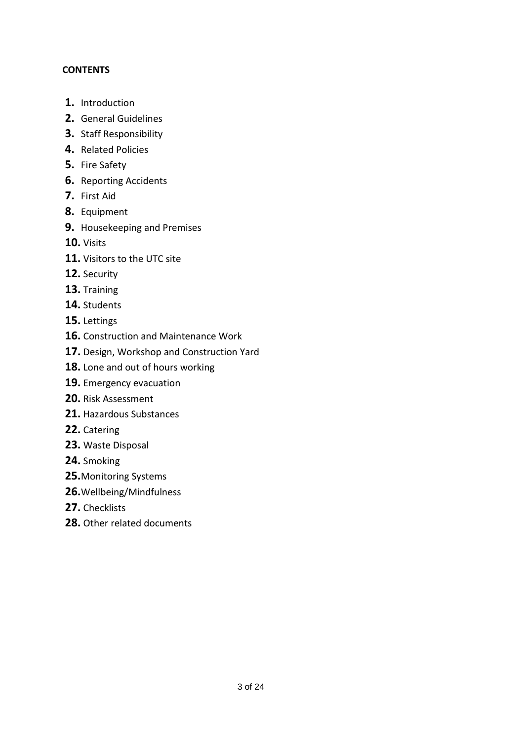## **CONTENTS**

- **1.** Introduction
- **2.** General Guidelines
- **3.** Staff Responsibility
- **4.** Related Policies
- **5.** Fire Safety
- **6.** Reporting Accidents
- **7.** First Aid
- **8.** Equipment
- **9.** Housekeeping and Premises
- **10.** Visits
- **11.** Visitors to the UTC site
- **12.** Security
- **13.** Training
- **14.** Students
- **15.** Lettings
- **16.** Construction and Maintenance Work
- **17.** Design, Workshop and Construction Yard
- **18.** Lone and out of hours working
- **19.** Emergency evacuation
- **20.** Risk Assessment
- **21.** Hazardous Substances
- **22.** Catering
- **23.** Waste Disposal
- **24.** Smoking
- **25.**Monitoring Systems
- **26.**Wellbeing/Mindfulness
- **27.** Checklists
- **28.** Other related documents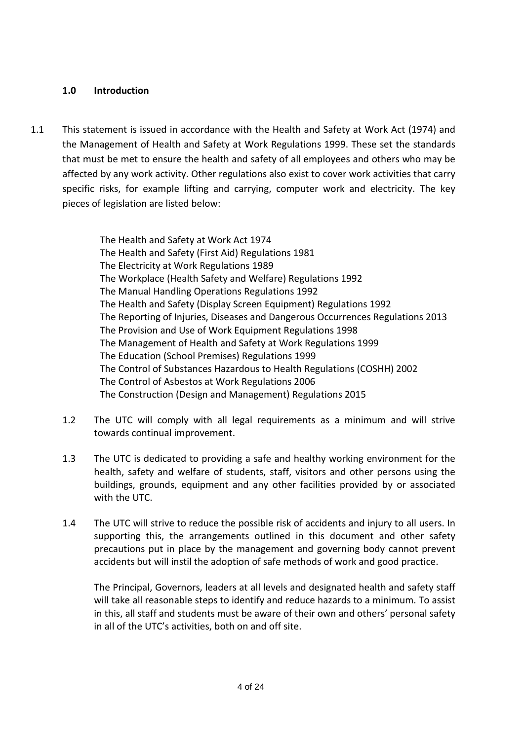## **1.0 Introduction**

1.1 This statement is issued in accordance with the Health and Safety at Work Act (1974) and the Management of Health and Safety at Work Regulations 1999. These set the standards that must be met to ensure the health and safety of all employees and others who may be affected by any work activity. Other regulations also exist to cover work activities that carry specific risks, for example lifting and carrying, computer work and electricity. The key pieces of legislation are listed below:

> The Health and Safety at Work Act 1974 The Health and Safety (First Aid) Regulations 1981 The Electricity at Work Regulations 1989 The Workplace (Health Safety and Welfare) Regulations 1992 The Manual Handling Operations Regulations 1992 The Health and Safety (Display Screen Equipment) Regulations 1992 The Reporting of Injuries, Diseases and Dangerous Occurrences Regulations 2013 The Provision and Use of Work Equipment Regulations 1998 The Management of Health and Safety at Work Regulations 1999 The Education (School Premises) Regulations 1999 The Control of Substances Hazardous to Health Regulations (COSHH) 2002 The Control of Asbestos at Work Regulations 2006 The Construction (Design and Management) Regulations 2015

- 1.2 The UTC will comply with all legal requirements as a minimum and will strive towards continual improvement.
- 1.3 The UTC is dedicated to providing a safe and healthy working environment for the health, safety and welfare of students, staff, visitors and other persons using the buildings, grounds, equipment and any other facilities provided by or associated with the UTC.
- 1.4 The UTC will strive to reduce the possible risk of accidents and injury to all users. In supporting this, the arrangements outlined in this document and other safety precautions put in place by the management and governing body cannot prevent accidents but will instil the adoption of safe methods of work and good practice.

The Principal, Governors, leaders at all levels and designated health and safety staff will take all reasonable steps to identify and reduce hazards to a minimum. To assist in this, all staff and students must be aware of their own and others' personal safety in all of the UTC's activities, both on and off site.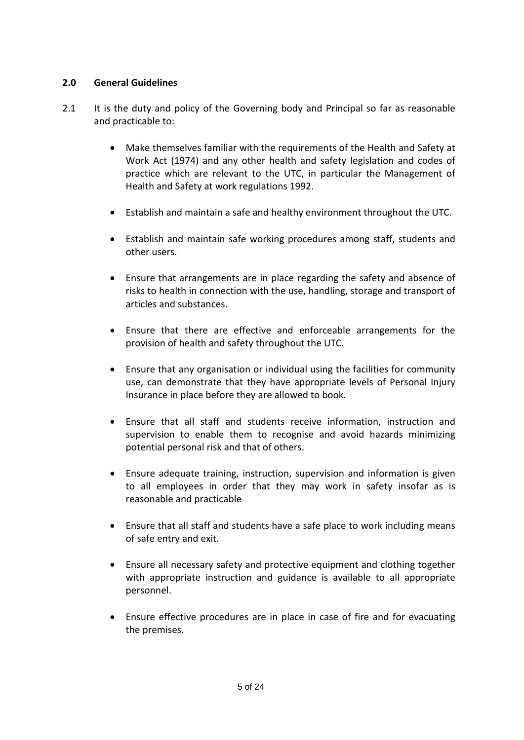#### **2.0 General Guidelines**

- 2.1 It is the duty and policy of the Governing body and Principal so far as reasonable and practicable to:
	- Make themselves familiar with the requirements of the Health and Safety at Work Act (1974) and any other health and safety legislation and codes of practice which are relevant to the UTC, in particular the Management of Health and Safety at work regulations 1992.
	- Establish and maintain a safe and healthy environment throughout the UTC.
	- Establish and maintain safe working procedures among staff, students and other users.
	- Ensure that arrangements are in place regarding the safety and absence of risks to health in connection with the use, handling, storage and transport of articles and substances.
	- Ensure that there are effective and enforceable arrangements for the provision of health and safety throughout the UTC.
	- Ensure that any organisation or individual using the facilities for community use, can demonstrate that they have appropriate levels of Personal Injury Insurance in place before they are allowed to book.
	- Ensure that all staff and students receive information, instruction and supervision to enable them to recognise and avoid hazards minimizing potential personal risk and that of others.
	- Ensure adequate training, instruction, supervision and information is given to all employees in order that they may work in safety insofar as is reasonable and practicable
	- Ensure that all staff and students have a safe place to work including means of safe entry and exit.
	- Ensure all necessary safety and protective equipment and clothing together with appropriate instruction and guidance is available to all appropriate personnel.
	- Ensure effective procedures are in place in case of fire and for evacuating the premises.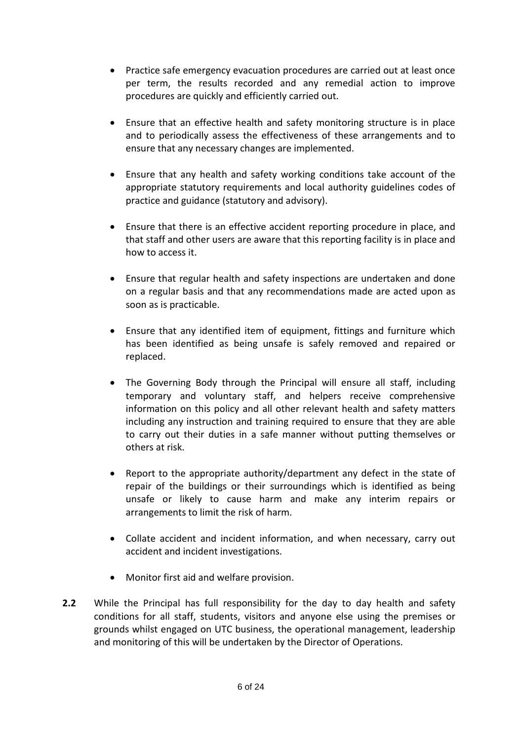- Practice safe emergency evacuation procedures are carried out at least once per term, the results recorded and any remedial action to improve procedures are quickly and efficiently carried out.
- Ensure that an effective health and safety monitoring structure is in place and to periodically assess the effectiveness of these arrangements and to ensure that any necessary changes are implemented.
- Ensure that any health and safety working conditions take account of the appropriate statutory requirements and local authority guidelines codes of practice and guidance (statutory and advisory).
- Ensure that there is an effective accident reporting procedure in place, and that staff and other users are aware that this reporting facility is in place and how to access it.
- Ensure that regular health and safety inspections are undertaken and done on a regular basis and that any recommendations made are acted upon as soon as is practicable.
- Ensure that any identified item of equipment, fittings and furniture which has been identified as being unsafe is safely removed and repaired or replaced.
- The Governing Body through the Principal will ensure all staff, including temporary and voluntary staff, and helpers receive comprehensive information on this policy and all other relevant health and safety matters including any instruction and training required to ensure that they are able to carry out their duties in a safe manner without putting themselves or others at risk.
- Report to the appropriate authority/department any defect in the state of repair of the buildings or their surroundings which is identified as being unsafe or likely to cause harm and make any interim repairs or arrangements to limit the risk of harm.
- Collate accident and incident information, and when necessary, carry out accident and incident investigations.
- Monitor first aid and welfare provision.
- **2.2** While the Principal has full responsibility for the day to day health and safety conditions for all staff, students, visitors and anyone else using the premises or grounds whilst engaged on UTC business, the operational management, leadership and monitoring of this will be undertaken by the Director of Operations.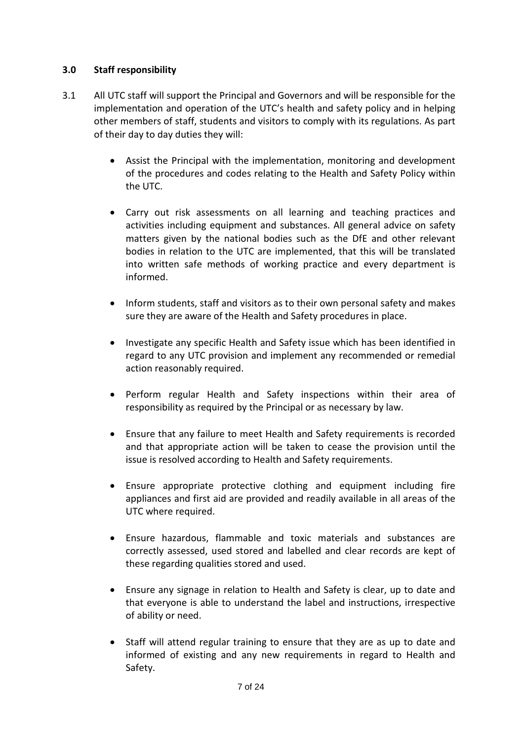## **3.0 Staff responsibility**

- 3.1 All UTC staff will support the Principal and Governors and will be responsible for the implementation and operation of the UTC's health and safety policy and in helping other members of staff, students and visitors to comply with its regulations. As part of their day to day duties they will:
	- Assist the Principal with the implementation, monitoring and development of the procedures and codes relating to the Health and Safety Policy within the UTC.
	- Carry out risk assessments on all learning and teaching practices and activities including equipment and substances. All general advice on safety matters given by the national bodies such as the DfE and other relevant bodies in relation to the UTC are implemented, that this will be translated into written safe methods of working practice and every department is informed.
	- Inform students, staff and visitors as to their own personal safety and makes sure they are aware of the Health and Safety procedures in place.
	- Investigate any specific Health and Safety issue which has been identified in regard to any UTC provision and implement any recommended or remedial action reasonably required.
	- Perform regular Health and Safety inspections within their area of responsibility as required by the Principal or as necessary by law.
	- Ensure that any failure to meet Health and Safety requirements is recorded and that appropriate action will be taken to cease the provision until the issue is resolved according to Health and Safety requirements.
	- Ensure appropriate protective clothing and equipment including fire appliances and first aid are provided and readily available in all areas of the UTC where required.
	- Ensure hazardous, flammable and toxic materials and substances are correctly assessed, used stored and labelled and clear records are kept of these regarding qualities stored and used.
	- Ensure any signage in relation to Health and Safety is clear, up to date and that everyone is able to understand the label and instructions, irrespective of ability or need.
	- Staff will attend regular training to ensure that they are as up to date and informed of existing and any new requirements in regard to Health and Safety.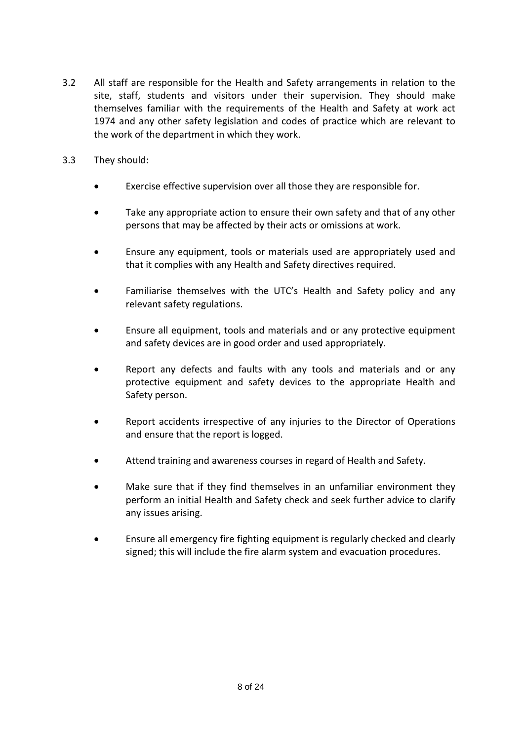- 3.2 All staff are responsible for the Health and Safety arrangements in relation to the site, staff, students and visitors under their supervision. They should make themselves familiar with the requirements of the Health and Safety at work act 1974 and any other safety legislation and codes of practice which are relevant to the work of the department in which they work.
- 3.3 They should:
	- Exercise effective supervision over all those they are responsible for.
	- Take any appropriate action to ensure their own safety and that of any other persons that may be affected by their acts or omissions at work.
	- Ensure any equipment, tools or materials used are appropriately used and that it complies with any Health and Safety directives required.
	- Familiarise themselves with the UTC's Health and Safety policy and any relevant safety regulations.
	- Ensure all equipment, tools and materials and or any protective equipment and safety devices are in good order and used appropriately.
	- Report any defects and faults with any tools and materials and or any protective equipment and safety devices to the appropriate Health and Safety person.
	- Report accidents irrespective of any injuries to the Director of Operations and ensure that the report is logged.
	- Attend training and awareness courses in regard of Health and Safety.
	- Make sure that if they find themselves in an unfamiliar environment they perform an initial Health and Safety check and seek further advice to clarify any issues arising.
	- Ensure all emergency fire fighting equipment is regularly checked and clearly signed; this will include the fire alarm system and evacuation procedures.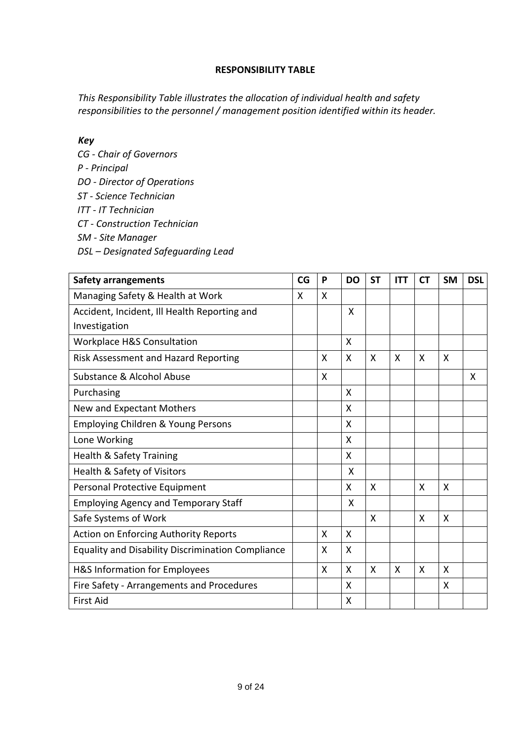#### **RESPONSIBILITY TABLE**

*This Responsibility Table illustrates the allocation of individual health and safety responsibilities to the personnel / management position identified within its header.* 

#### *Key*

*CG - Chair of Governors P - Principal DO - Director of Operations ST - Science Technician ITT - IT Technician CT - Construction Technician SM - Site Manager DSL – Designated Safeguarding Lead*

| <b>Safety arrangements</b>                               |   | P       | <b>DO</b> | <b>ST</b> | <b>ITT</b>                | СT | <b>SM</b>                 | <b>DSL</b> |
|----------------------------------------------------------|---|---------|-----------|-----------|---------------------------|----|---------------------------|------------|
| Managing Safety & Health at Work                         | X | X       |           |           |                           |    |                           |            |
| Accident, Incident, Ill Health Reporting and             |   |         | X         |           |                           |    |                           |            |
| Investigation                                            |   |         |           |           |                           |    |                           |            |
| <b>Workplace H&amp;S Consultation</b>                    |   |         | X         |           |                           |    |                           |            |
| Risk Assessment and Hazard Reporting                     |   | X       | X         | X         | $\boldsymbol{\mathsf{X}}$ | X  | $\boldsymbol{\mathsf{X}}$ |            |
| Substance & Alcohol Abuse                                |   | X       |           |           |                           |    |                           | X          |
| Purchasing                                               |   |         | X.        |           |                           |    |                           |            |
| New and Expectant Mothers                                |   |         | X         |           |                           |    |                           |            |
| Employing Children & Young Persons                       |   |         | X         |           |                           |    |                           |            |
| Lone Working                                             |   |         | X         |           |                           |    |                           |            |
| <b>Health &amp; Safety Training</b>                      |   |         | X.        |           |                           |    |                           |            |
| Health & Safety of Visitors                              |   |         | X         |           |                           |    |                           |            |
| Personal Protective Equipment                            |   |         | X         | X         |                           | X  | X                         |            |
| <b>Employing Agency and Temporary Staff</b>              |   |         | X         |           |                           |    |                           |            |
| Safe Systems of Work                                     |   |         |           | X         |                           | X  | X                         |            |
| <b>Action on Enforcing Authority Reports</b>             |   | $\sf X$ | X         |           |                           |    |                           |            |
| <b>Equality and Disability Discrimination Compliance</b> |   | X       | X.        |           |                           |    |                           |            |
| H&S Information for Employees                            |   | X       | X         | X         | X                         | X  | X                         |            |
| Fire Safety - Arrangements and Procedures                |   |         | X         |           |                           |    | X                         |            |
| <b>First Aid</b>                                         |   |         | X         |           |                           |    |                           |            |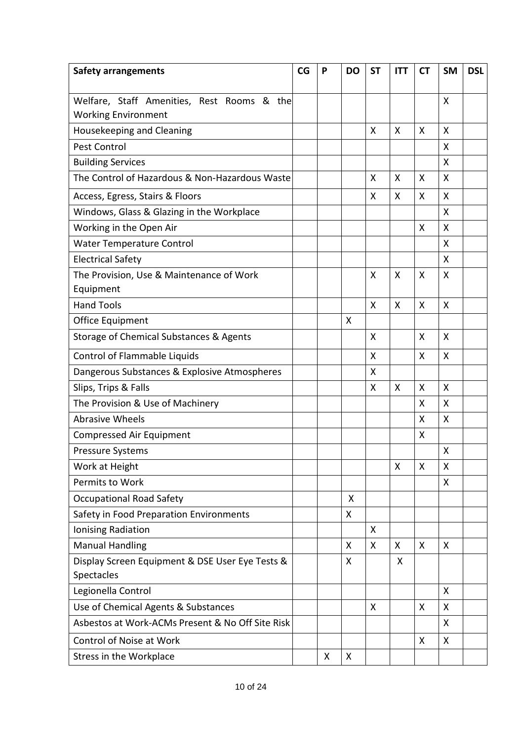| <b>Safety arrangements</b>                       | CG | P | <b>DO</b> | <b>ST</b> | <b>ITT</b>   | <b>CT</b> | <b>SM</b> | <b>DSL</b> |
|--------------------------------------------------|----|---|-----------|-----------|--------------|-----------|-----------|------------|
| Welfare, Staff Amenities, Rest Rooms & the       |    |   |           |           |              |           | X         |            |
| <b>Working Environment</b>                       |    |   |           |           |              |           |           |            |
| Housekeeping and Cleaning                        |    |   |           | X         | X            | X         | X         |            |
| Pest Control                                     |    |   |           |           |              |           | X         |            |
| <b>Building Services</b>                         |    |   |           |           |              |           | X         |            |
| The Control of Hazardous & Non-Hazardous Waste   |    |   |           | X         | X            | X         | X         |            |
| Access, Egress, Stairs & Floors                  |    |   |           | X         | X            | X         | X         |            |
| Windows, Glass & Glazing in the Workplace        |    |   |           |           |              |           | X         |            |
| Working in the Open Air                          |    |   |           |           |              | X         | X         |            |
| <b>Water Temperature Control</b>                 |    |   |           |           |              |           | X         |            |
| <b>Electrical Safety</b>                         |    |   |           |           |              |           | X         |            |
| The Provision, Use & Maintenance of Work         |    |   |           | X         | X            | X         | X         |            |
| Equipment                                        |    |   |           |           |              |           |           |            |
| <b>Hand Tools</b>                                |    |   |           | X         | X            | X         | Χ         |            |
| Office Equipment                                 |    |   | X         |           |              |           |           |            |
| Storage of Chemical Substances & Agents          |    |   |           | X         |              | X         | X         |            |
| Control of Flammable Liquids                     |    |   |           | Χ         |              | X         | X         |            |
| Dangerous Substances & Explosive Atmospheres     |    |   |           | X         |              |           |           |            |
| Slips, Trips & Falls                             |    |   |           | X         | X            | X         | X         |            |
| The Provision & Use of Machinery                 |    |   |           |           |              | X         | X         |            |
| <b>Abrasive Wheels</b>                           |    |   |           |           |              | X         | X         |            |
| <b>Compressed Air Equipment</b>                  |    |   |           |           |              | X         |           |            |
| <b>Pressure Systems</b>                          |    |   |           |           |              |           | X         |            |
| Work at Height                                   |    |   |           |           | X            | X         | X         |            |
| Permits to Work                                  |    |   |           |           |              |           | X         |            |
| <b>Occupational Road Safety</b>                  |    |   | X         |           |              |           |           |            |
| Safety in Food Preparation Environments          |    |   | X         |           |              |           |           |            |
| Ionising Radiation                               |    |   |           | X         |              |           |           |            |
| <b>Manual Handling</b>                           |    |   | X         | X         | X            | X         | X         |            |
| Display Screen Equipment & DSE User Eye Tests &  |    |   | X         |           | $\mathsf{X}$ |           |           |            |
| Spectacles                                       |    |   |           |           |              |           |           |            |
| Legionella Control                               |    |   |           |           |              |           | X         |            |
| Use of Chemical Agents & Substances              |    |   |           | X         |              | X         | X         |            |
| Asbestos at Work-ACMs Present & No Off Site Risk |    |   |           |           |              |           | X         |            |
| Control of Noise at Work                         |    |   |           |           |              | X         | X         |            |
| Stress in the Workplace                          |    | X | X         |           |              |           |           |            |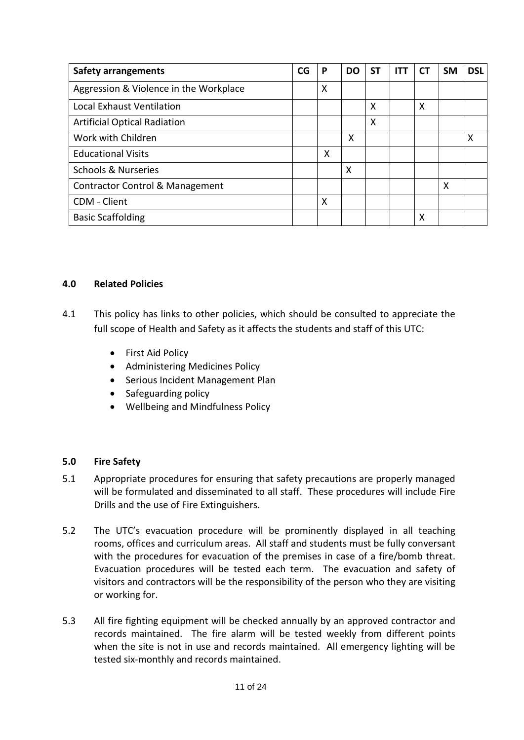| <b>Safety arrangements</b>                 | CG | P | <b>DO</b> | SΤ                        | . | CT. | <b>SM</b>                 | <b>DSL</b> |
|--------------------------------------------|----|---|-----------|---------------------------|---|-----|---------------------------|------------|
| Aggression & Violence in the Workplace     |    | X |           |                           |   |     |                           |            |
| <b>Local Exhaust Ventilation</b>           |    |   |           | $\boldsymbol{\mathsf{X}}$ |   | X   |                           |            |
| <b>Artificial Optical Radiation</b>        |    |   |           | $\boldsymbol{\mathsf{X}}$ |   |     |                           |            |
| Work with Children                         |    |   | X         |                           |   |     |                           | Χ          |
| <b>Educational Visits</b>                  |    | X |           |                           |   |     |                           |            |
| <b>Schools &amp; Nurseries</b>             |    |   | X         |                           |   |     |                           |            |
| <b>Contractor Control &amp; Management</b> |    |   |           |                           |   |     | $\boldsymbol{\mathsf{X}}$ |            |
| CDM - Client                               |    | X |           |                           |   |     |                           |            |
| <b>Basic Scaffolding</b>                   |    |   |           |                           |   | X   |                           |            |

#### **4.0 Related Policies**

- 4.1 This policy has links to other policies, which should be consulted to appreciate the full scope of Health and Safety as it affects the students and staff of this UTC:
	- First Aid Policy
	- Administering Medicines Policy
	- Serious Incident Management Plan
	- Safeguarding policy
	- Wellbeing and Mindfulness Policy

#### **5.0 Fire Safety**

- 5.1 Appropriate procedures for ensuring that safety precautions are properly managed will be formulated and disseminated to all staff. These procedures will include Fire Drills and the use of Fire Extinguishers.
- 5.2 The UTC's evacuation procedure will be prominently displayed in all teaching rooms, offices and curriculum areas. All staff and students must be fully conversant with the procedures for evacuation of the premises in case of a fire/bomb threat. Evacuation procedures will be tested each term. The evacuation and safety of visitors and contractors will be the responsibility of the person who they are visiting or working for.
- 5.3 All fire fighting equipment will be checked annually by an approved contractor and records maintained. The fire alarm will be tested weekly from different points when the site is not in use and records maintained. All emergency lighting will be tested six-monthly and records maintained.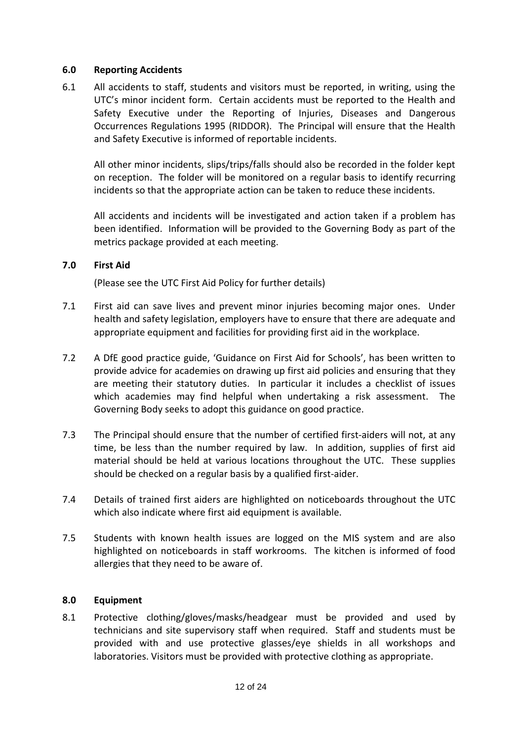#### **6.0 Reporting Accidents**

6.1 All accidents to staff, students and visitors must be reported, in writing, using the UTC's minor incident form. Certain accidents must be reported to the Health and Safety Executive under the Reporting of Injuries, Diseases and Dangerous Occurrences Regulations 1995 (RIDDOR). The Principal will ensure that the Health and Safety Executive is informed of reportable incidents.

All other minor incidents, slips/trips/falls should also be recorded in the folder kept on reception. The folder will be monitored on a regular basis to identify recurring incidents so that the appropriate action can be taken to reduce these incidents.

All accidents and incidents will be investigated and action taken if a problem has been identified. Information will be provided to the Governing Body as part of the metrics package provided at each meeting.

#### **7.0 First Aid**

(Please see the UTC First Aid Policy for further details)

- 7.1 First aid can save lives and prevent minor injuries becoming major ones. Under health and safety legislation, employers have to ensure that there are adequate and appropriate equipment and facilities for providing first aid in the workplace.
- 7.2 A DfE good practice guide, 'Guidance on First Aid for Schools', has been written to provide advice for academies on drawing up first aid policies and ensuring that they are meeting their statutory duties. In particular it includes a checklist of issues which academies may find helpful when undertaking a risk assessment. The Governing Body seeks to adopt this guidance on good practice.
- 7.3 The Principal should ensure that the number of certified first-aiders will not, at any time, be less than the number required by law. In addition, supplies of first aid material should be held at various locations throughout the UTC. These supplies should be checked on a regular basis by a qualified first-aider.
- 7.4 Details of trained first aiders are highlighted on noticeboards throughout the UTC which also indicate where first aid equipment is available.
- 7.5 Students with known health issues are logged on the MIS system and are also highlighted on noticeboards in staff workrooms. The kitchen is informed of food allergies that they need to be aware of.

#### **8.0 Equipment**

8.1 Protective clothing/gloves/masks/headgear must be provided and used by technicians and site supervisory staff when required. Staff and students must be provided with and use protective glasses/eye shields in all workshops and laboratories. Visitors must be provided with protective clothing as appropriate.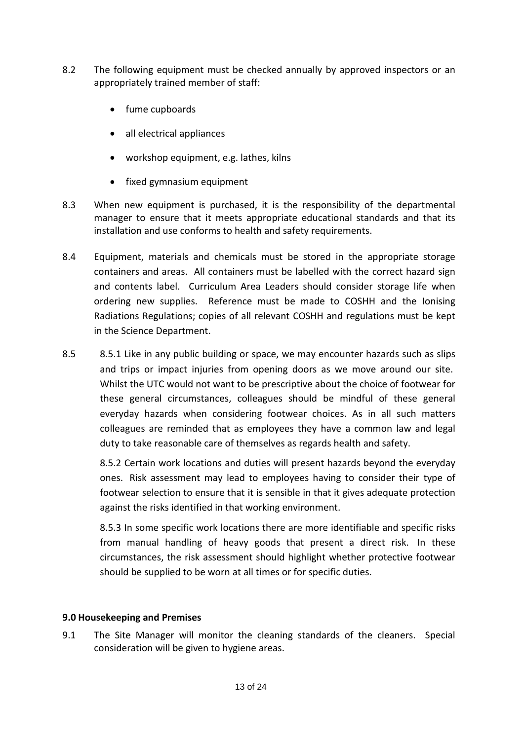- 8.2 The following equipment must be checked annually by approved inspectors or an appropriately trained member of staff:
	- fume cupboards
	- all electrical appliances
	- workshop equipment, e.g. lathes, kilns
	- fixed gymnasium equipment
- 8.3 When new equipment is purchased, it is the responsibility of the departmental manager to ensure that it meets appropriate educational standards and that its installation and use conforms to health and safety requirements.
- 8.4 Equipment, materials and chemicals must be stored in the appropriate storage containers and areas. All containers must be labelled with the correct hazard sign and contents label. Curriculum Area Leaders should consider storage life when ordering new supplies. Reference must be made to COSHH and the Ionising Radiations Regulations; copies of all relevant COSHH and regulations must be kept in the Science Department.
- 8.5 8.5.1 Like in any public building or space, we may encounter hazards such as slips and trips or impact injuries from opening doors as we move around our site. Whilst the UTC would not want to be prescriptive about the choice of footwear for these general circumstances, colleagues should be mindful of these general everyday hazards when considering footwear choices. As in all such matters colleagues are reminded that as employees they have a common law and legal duty to take reasonable care of themselves as regards health and safety.

8.5.2 Certain work locations and duties will present hazards beyond the everyday ones. Risk assessment may lead to employees having to consider their type of footwear selection to ensure that it is sensible in that it gives adequate protection against the risks identified in that working environment.

8.5.3 In some specific work locations there are more identifiable and specific risks from manual handling of heavy goods that present a direct risk. In these circumstances, the risk assessment should highlight whether protective footwear should be supplied to be worn at all times or for specific duties.

#### **9.0 Housekeeping and Premises**

9.1 The Site Manager will monitor the cleaning standards of the cleaners. Special consideration will be given to hygiene areas.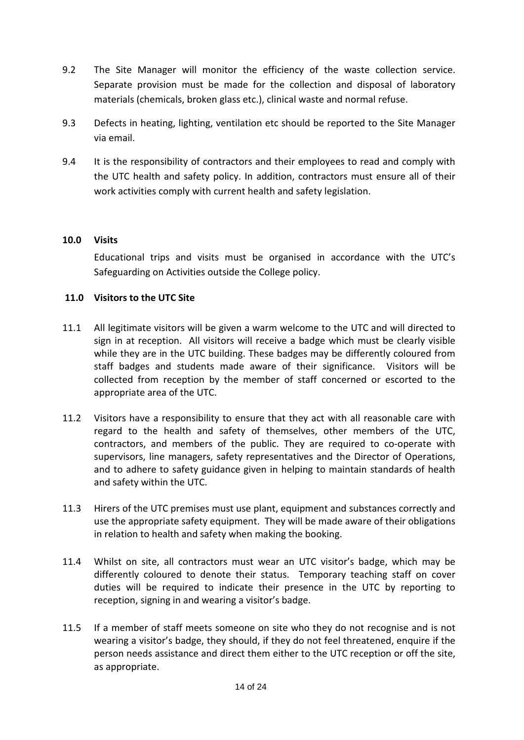- 9.2 The Site Manager will monitor the efficiency of the waste collection service. Separate provision must be made for the collection and disposal of laboratory materials (chemicals, broken glass etc.), clinical waste and normal refuse.
- 9.3 Defects in heating, lighting, ventilation etc should be reported to the Site Manager via email.
- 9.4 It is the responsibility of contractors and their employees to read and comply with the UTC health and safety policy. In addition, contractors must ensure all of their work activities comply with current health and safety legislation.

#### **10.0 Visits**

Educational trips and visits must be organised in accordance with the UTC's Safeguarding on Activities outside the College policy.

#### **11.0 Visitors to the UTC Site**

- 11.1 All legitimate visitors will be given a warm welcome to the UTC and will directed to sign in at reception. All visitors will receive a badge which must be clearly visible while they are in the UTC building. These badges may be differently coloured from staff badges and students made aware of their significance. Visitors will be collected from reception by the member of staff concerned or escorted to the appropriate area of the UTC.
- 11.2 Visitors have a responsibility to ensure that they act with all reasonable care with regard to the health and safety of themselves, other members of the UTC, contractors, and members of the public. They are required to co-operate with supervisors, line managers, safety representatives and the Director of Operations, and to adhere to safety guidance given in helping to maintain standards of health and safety within the UTC.
- 11.3 Hirers of the UTC premises must use plant, equipment and substances correctly and use the appropriate safety equipment. They will be made aware of their obligations in relation to health and safety when making the booking.
- 11.4 Whilst on site, all contractors must wear an UTC visitor's badge, which may be differently coloured to denote their status. Temporary teaching staff on cover duties will be required to indicate their presence in the UTC by reporting to reception, signing in and wearing a visitor's badge.
- 11.5 If a member of staff meets someone on site who they do not recognise and is not wearing a visitor's badge, they should, if they do not feel threatened, enquire if the person needs assistance and direct them either to the UTC reception or off the site, as appropriate.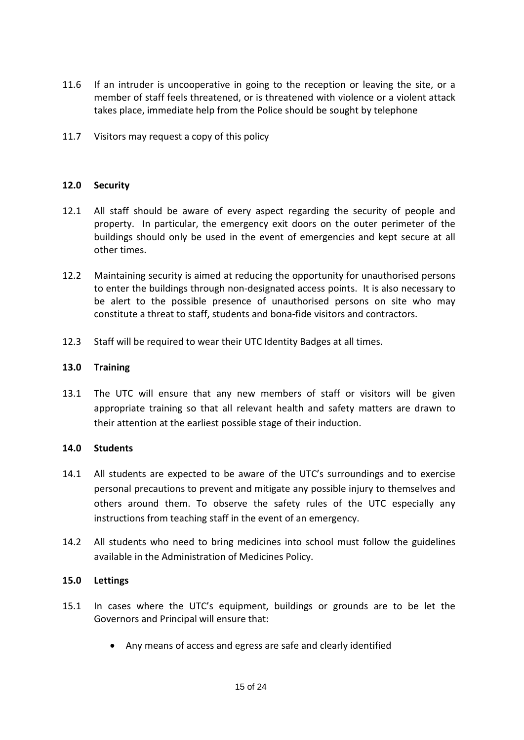- 11.6 If an intruder is uncooperative in going to the reception or leaving the site, or a member of staff feels threatened, or is threatened with violence or a violent attack takes place, immediate help from the Police should be sought by telephone
- 11.7 Visitors may request a copy of this policy

#### **12.0 Security**

- 12.1 All staff should be aware of every aspect regarding the security of people and property. In particular, the emergency exit doors on the outer perimeter of the buildings should only be used in the event of emergencies and kept secure at all other times.
- 12.2 Maintaining security is aimed at reducing the opportunity for unauthorised persons to enter the buildings through non-designated access points. It is also necessary to be alert to the possible presence of unauthorised persons on site who may constitute a threat to staff, students and bona-fide visitors and contractors.
- 12.3 Staff will be required to wear their UTC Identity Badges at all times.

#### **13.0 Training**

13.1 The UTC will ensure that any new members of staff or visitors will be given appropriate training so that all relevant health and safety matters are drawn to their attention at the earliest possible stage of their induction.

#### **14.0 Students**

- 14.1 All students are expected to be aware of the UTC's surroundings and to exercise personal precautions to prevent and mitigate any possible injury to themselves and others around them. To observe the safety rules of the UTC especially any instructions from teaching staff in the event of an emergency.
- 14.2 All students who need to bring medicines into school must follow the guidelines available in the Administration of Medicines Policy.

#### **15.0 Lettings**

- 15.1 In cases where the UTC's equipment, buildings or grounds are to be let the Governors and Principal will ensure that:
	- Any means of access and egress are safe and clearly identified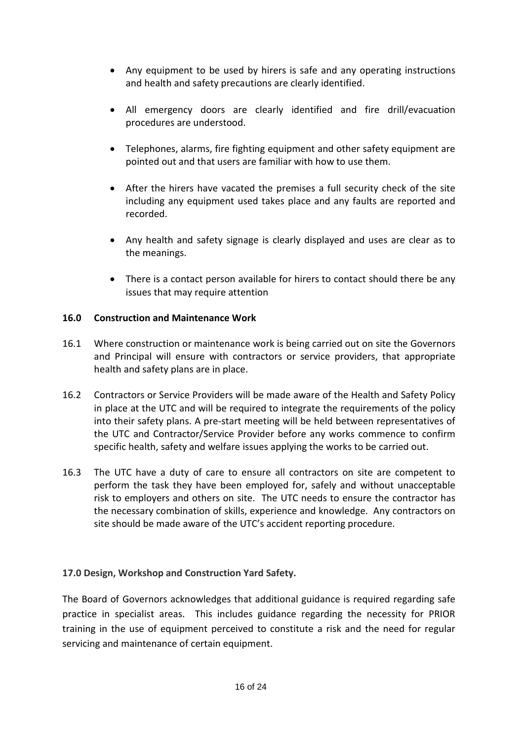- Any equipment to be used by hirers is safe and any operating instructions and health and safety precautions are clearly identified.
- All emergency doors are clearly identified and fire drill/evacuation procedures are understood.
- Telephones, alarms, fire fighting equipment and other safety equipment are pointed out and that users are familiar with how to use them.
- After the hirers have vacated the premises a full security check of the site including any equipment used takes place and any faults are reported and recorded.
- Any health and safety signage is clearly displayed and uses are clear as to the meanings.
- There is a contact person available for hirers to contact should there be any issues that may require attention

## **16.0 Construction and Maintenance Work**

- 16.1 Where construction or maintenance work is being carried out on site the Governors and Principal will ensure with contractors or service providers, that appropriate health and safety plans are in place.
- 16.2 Contractors or Service Providers will be made aware of the Health and Safety Policy in place at the UTC and will be required to integrate the requirements of the policy into their safety plans. A pre-start meeting will be held between representatives of the UTC and Contractor/Service Provider before any works commence to confirm specific health, safety and welfare issues applying the works to be carried out.
- 16.3 The UTC have a duty of care to ensure all contractors on site are competent to perform the task they have been employed for, safely and without unacceptable risk to employers and others on site. The UTC needs to ensure the contractor has the necessary combination of skills, experience and knowledge. Any contractors on site should be made aware of the UTC's accident reporting procedure.

#### **17.0 Design, Workshop and Construction Yard Safety.**

The Board of Governors acknowledges that additional guidance is required regarding safe practice in specialist areas. This includes guidance regarding the necessity for PRIOR training in the use of equipment perceived to constitute a risk and the need for regular servicing and maintenance of certain equipment.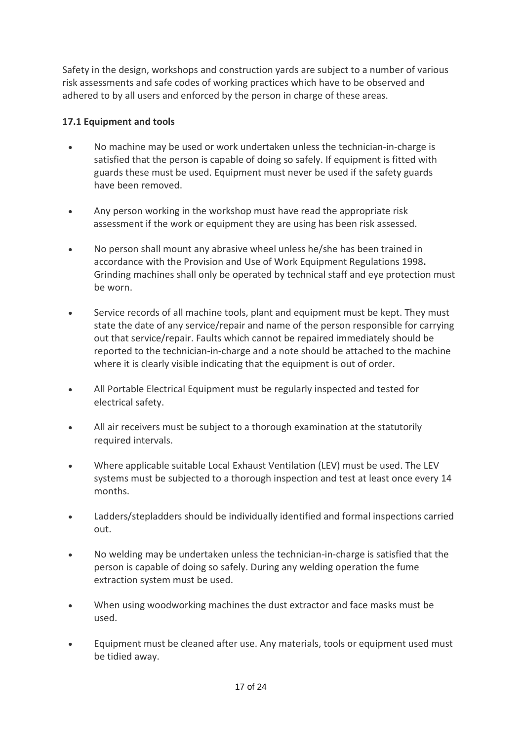Safety in the design, workshops and construction yards are subject to a number of various risk assessments and safe codes of working practices which have to be observed and adhered to by all users and enforced by the person in charge of these areas.

## **17.1 Equipment and tools**

- No machine may be used or work undertaken unless the technician-in-charge is satisfied that the person is capable of doing so safely. If equipment is fitted with guards these must be used. Equipment must never be used if the safety guards have been removed.
- Any person working in the workshop must have read the appropriate risk assessment if the work or equipment they are using has been risk assessed.
- No person shall mount any abrasive wheel unless he/she has been trained in accordance with the Provision and Use of Work Equipment Regulations 1998**.** Grinding machines shall only be operated by technical staff and eye protection must be worn.
- Service records of all machine tools, plant and equipment must be kept. They must state the date of any service/repair and name of the person responsible for carrying out that service/repair. Faults which cannot be repaired immediately should be reported to the technician-in-charge and a note should be attached to the machine where it is clearly visible indicating that the equipment is out of order.
- All Portable Electrical Equipment must be regularly inspected and tested for electrical safety.
- All air receivers must be subject to a thorough examination at the statutorily required intervals.
- Where applicable suitable Local Exhaust Ventilation (LEV) must be used. The LEV systems must be subjected to a thorough inspection and test at least once every 14 months.
- Ladders/stepladders should be individually identified and formal inspections carried out.
- No welding may be undertaken unless the technician-in-charge is satisfied that the person is capable of doing so safely. During any welding operation the fume extraction system must be used.
- When using woodworking machines the dust extractor and face masks must be used.
- Equipment must be cleaned after use. Any materials, tools or equipment used must be tidied away.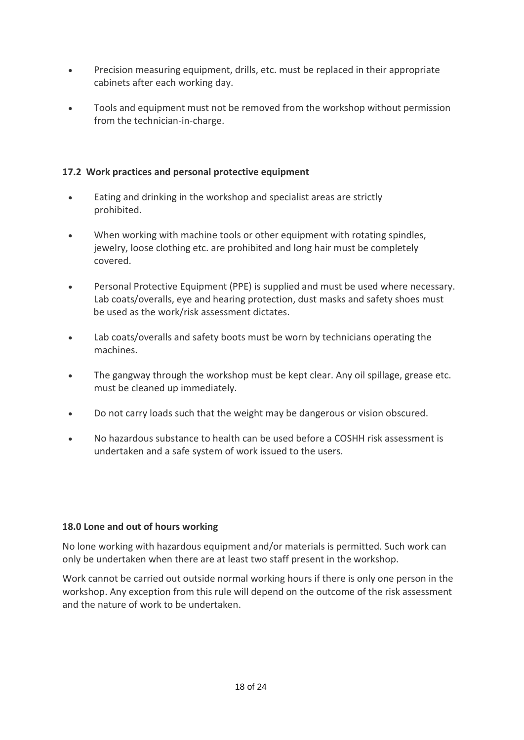- Precision measuring equipment, drills, etc. must be replaced in their appropriate cabinets after each working day.
- Tools and equipment must not be removed from the workshop without permission from the technician-in-charge.

## **17.2 Work practices and personal protective equipment**

- Eating and drinking in the workshop and specialist areas are strictly prohibited.
- When working with machine tools or other equipment with rotating spindles, jewelry, loose clothing etc. are prohibited and long hair must be completely covered.
- Personal Protective Equipment (PPE) is supplied and must be used where necessary. Lab coats/overalls, eye and hearing protection, dust masks and safety shoes must be used as the work/risk assessment dictates.
- Lab coats/overalls and safety boots must be worn by technicians operating the machines.
- The gangway through the workshop must be kept clear. Any oil spillage, grease etc. must be cleaned up immediately.
- Do not carry loads such that the weight may be dangerous or vision obscured.
- No hazardous substance to health can be used before a COSHH risk assessment is undertaken and a safe system of work issued to the users.

#### **18.0 Lone and out of hours working**

No lone working with hazardous equipment and/or materials is permitted. Such work can only be undertaken when there are at least two staff present in the workshop.

Work cannot be carried out outside normal working hours if there is only one person in the workshop. Any exception from this rule will depend on the outcome of the risk assessment and the nature of work to be undertaken.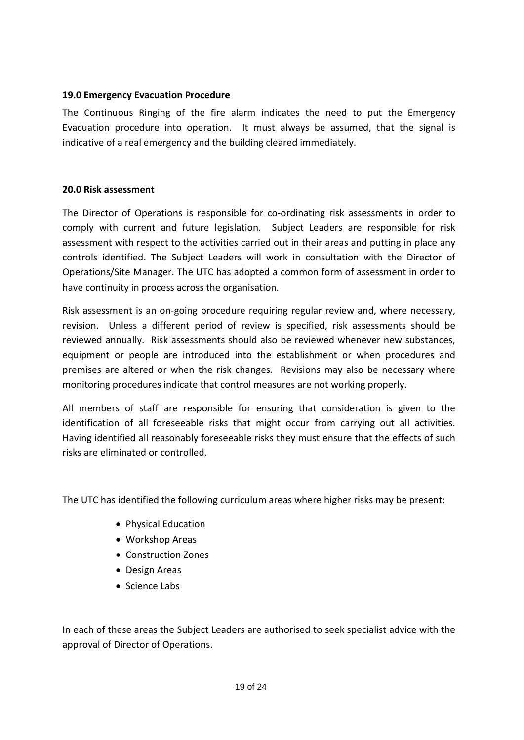#### **19.0 Emergency Evacuation Procedure**

The Continuous Ringing of the fire alarm indicates the need to put the Emergency Evacuation procedure into operation. It must always be assumed, that the signal is indicative of a real emergency and the building cleared immediately.

#### **20.0 Risk assessment**

The Director of Operations is responsible for co-ordinating risk assessments in order to comply with current and future legislation. Subject Leaders are responsible for risk assessment with respect to the activities carried out in their areas and putting in place any controls identified. The Subject Leaders will work in consultation with the Director of Operations/Site Manager. The UTC has adopted a common form of assessment in order to have continuity in process across the organisation.

Risk assessment is an on-going procedure requiring regular review and, where necessary, revision. Unless a different period of review is specified, risk assessments should be reviewed annually. Risk assessments should also be reviewed whenever new substances, equipment or people are introduced into the establishment or when procedures and premises are altered or when the risk changes. Revisions may also be necessary where monitoring procedures indicate that control measures are not working properly.

All members of staff are responsible for ensuring that consideration is given to the identification of all foreseeable risks that might occur from carrying out all activities. Having identified all reasonably foreseeable risks they must ensure that the effects of such risks are eliminated or controlled.

The UTC has identified the following curriculum areas where higher risks may be present:

- Physical Education
- Workshop Areas
- Construction Zones
- Design Areas
- Science Labs

In each of these areas the Subject Leaders are authorised to seek specialist advice with the approval of Director of Operations.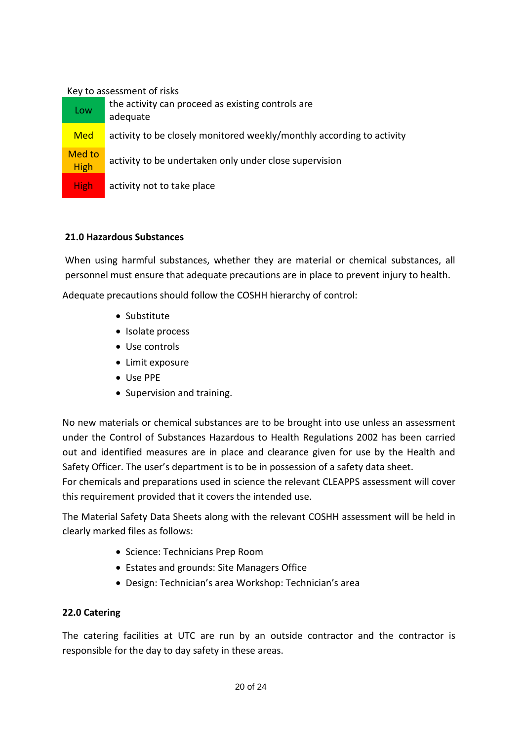#### Key to assessment of risks

| Low                   | the activity can proceed as existing controls are<br>adequate         |
|-----------------------|-----------------------------------------------------------------------|
| <b>Med</b>            | activity to be closely monitored weekly/monthly according to activity |
| Med to<br><b>High</b> | activity to be undertaken only under close supervision                |
| <b>High</b>           | activity not to take place                                            |

## **21.0 Hazardous Substances**

When using harmful substances, whether they are material or chemical substances, all personnel must ensure that adequate precautions are in place to prevent injury to health.

Adequate precautions should follow the COSHH hierarchy of control:

- Substitute
- Isolate process
- Use controls
- Limit exposure
- Use PPE
- Supervision and training.

No new materials or chemical substances are to be brought into use unless an assessment under the Control of Substances Hazardous to Health Regulations 2002 has been carried out and identified measures are in place and clearance given for use by the Health and Safety Officer. The user's department is to be in possession of a safety data sheet.

For chemicals and preparations used in science the relevant CLEAPPS assessment will cover this requirement provided that it covers the intended use.

The Material Safety Data Sheets along with the relevant COSHH assessment will be held in clearly marked files as follows:

- Science: Technicians Prep Room
- Estates and grounds: Site Managers Office
- Design: Technician's area Workshop: Technician's area

## **22.0 Catering**

The catering facilities at UTC are run by an outside contractor and the contractor is responsible for the day to day safety in these areas.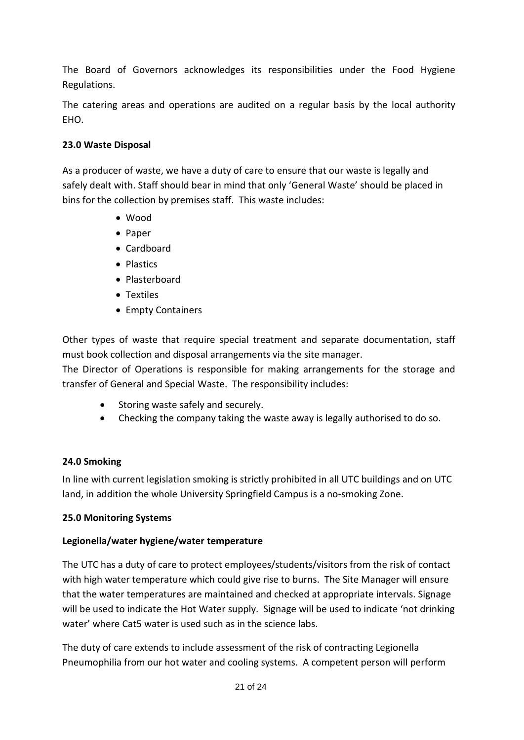The Board of Governors acknowledges its responsibilities under the Food Hygiene Regulations.

The catering areas and operations are audited on a regular basis by the local authority EHO.

## **23.0 Waste Disposal**

As a producer of waste, we have a duty of care to ensure that our waste is legally and safely dealt with. Staff should bear in mind that only 'General Waste' should be placed in bins for the collection by premises staff. This waste includes:

- Wood
- Paper
- Cardboard
- Plastics
- Plasterboard
- Textiles
- Empty Containers

Other types of waste that require special treatment and separate documentation, staff must book collection and disposal arrangements via the site manager.

The Director of Operations is responsible for making arrangements for the storage and transfer of General and Special Waste. The responsibility includes:

- Storing waste safely and securely.
- Checking the company taking the waste away is legally authorised to do so.

## **24.0 Smoking**

In line with current legislation smoking is strictly prohibited in all UTC buildings and on UTC land, in addition the whole University Springfield Campus is a no-smoking Zone.

## **25.0 Monitoring Systems**

## **Legionella/water hygiene/water temperature**

The UTC has a duty of care to protect employees/students/visitors from the risk of contact with high water temperature which could give rise to burns. The Site Manager will ensure that the water temperatures are maintained and checked at appropriate intervals. Signage will be used to indicate the Hot Water supply. Signage will be used to indicate 'not drinking water' where Cat5 water is used such as in the science labs.

The duty of care extends to include assessment of the risk of contracting Legionella Pneumophilia from our hot water and cooling systems. A competent person will perform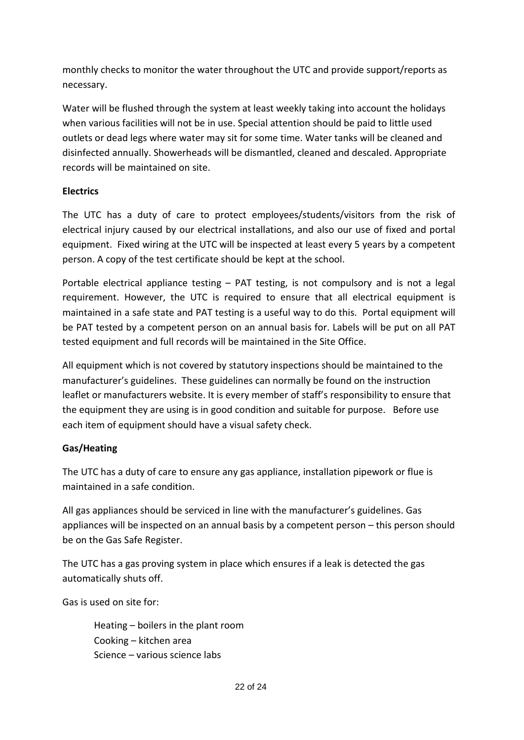monthly checks to monitor the water throughout the UTC and provide support/reports as necessary.

Water will be flushed through the system at least weekly taking into account the holidays when various facilities will not be in use. Special attention should be paid to little used outlets or dead legs where water may sit for some time. Water tanks will be cleaned and disinfected annually. Showerheads will be dismantled, cleaned and descaled. Appropriate records will be maintained on site.

## **Electrics**

The UTC has a duty of care to protect employees/students/visitors from the risk of electrical injury caused by our electrical installations, and also our use of fixed and portal equipment. Fixed wiring at the UTC will be inspected at least every 5 years by a competent person. A copy of the test certificate should be kept at the school.

Portable electrical appliance testing – PAT testing, is not compulsory and is not a legal requirement. However, the UTC is required to ensure that all electrical equipment is maintained in a safe state and PAT testing is a useful way to do this. Portal equipment will be PAT tested by a competent person on an annual basis for. Labels will be put on all PAT tested equipment and full records will be maintained in the Site Office.

All equipment which is not covered by statutory inspections should be maintained to the manufacturer's guidelines. These guidelines can normally be found on the instruction leaflet or manufacturers website. It is every member of staff's responsibility to ensure that the equipment they are using is in good condition and suitable for purpose. Before use each item of equipment should have a visual safety check.

## **Gas/Heating**

The UTC has a duty of care to ensure any gas appliance, installation pipework or flue is maintained in a safe condition.

All gas appliances should be serviced in line with the manufacturer's guidelines. Gas appliances will be inspected on an annual basis by a competent person – this person should be on the Gas Safe Register.

The UTC has a gas proving system in place which ensures if a leak is detected the gas automatically shuts off.

Gas is used on site for:

Heating – boilers in the plant room Cooking – kitchen area Science – various science labs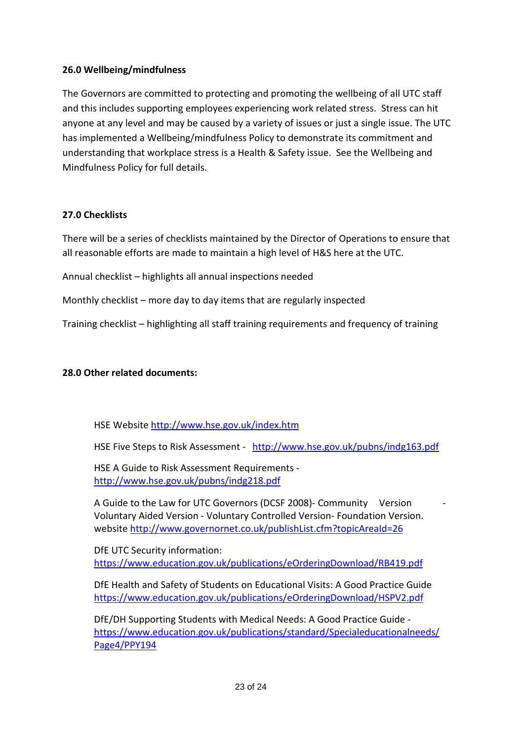## **26.0 Wellbeing/mindfulness**

The Governors are committed to protecting and promoting the wellbeing of all UTC staff and this includes supporting employees experiencing work related stress. Stress can hit anyone at any level and may be caused by a variety of issues or just a single issue. The UTC has implemented a Wellbeing/mindfulness Policy to demonstrate its commitment and understanding that workplace stress is a Health & Safety issue. See the Wellbeing and Mindfulness Policy for full details.

#### **27.0 Checklists**

There will be a series of checklists maintained by the Director of Operations to ensure that all reasonable efforts are made to maintain a high level of H&S here at the UTC.

Annual checklist – highlights all annual inspections needed

Monthly checklist – more day to day items that are regularly inspected

Training checklist – highlighting all staff training requirements and frequency of training

## **28.0 Other related documents:**

HSE Website<http://www.hse.gov.uk/index.htm>

HSE Five Steps to Risk Assessment - <http://www.hse.gov.uk/pubns/indg163.pdf>

HSE A Guide to Risk Assessment Requirements <http://www.hse.gov.uk/pubns/indg218.pdf>

A Guide to the Law for UTC Governors (DCSF 2008)- Community Version - Voluntary Aided Version - Voluntary Controlled Version- Foundation Version. website<http://www.governornet.co.uk/publishList.cfm?topicAreaId=26>

DfE UTC Security information: <https://www.education.gov.uk/publications/eOrderingDownload/RB419.pdf>

DfE Health and Safety of Students on Educational Visits: A Good Practice Guide <https://www.education.gov.uk/publications/eOrderingDownload/HSPV2.pdf>

DfE/DH Supporting Students with Medical Needs: A Good Practice Guide [https://www.education.gov.uk/publications/standard/Specialeducationalneeds/](https://www.education.gov.uk/publications/standard/Specialeducationalneeds/Page4/PPY194) [Page4/PPY194](https://www.education.gov.uk/publications/standard/Specialeducationalneeds/Page4/PPY194)